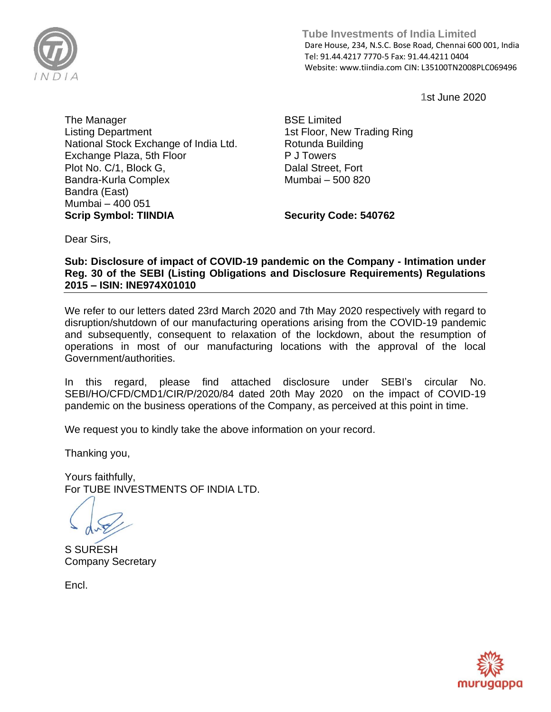

 **Tube Investments of India Limited**  Dare House, 234, N.S.C. Bose Road, Chennai 600 001, India Tel: 91.44.4217 7770-5 Fax: 91.44.4211 0404 Website: www.tiindia.com CIN: L35100TN2008PLC069496

**1**st June 2020

The Manager Listing Department National Stock Exchange of India Ltd. Exchange Plaza, 5th Floor Plot No. C/1, Block G, Bandra-Kurla Complex Bandra (East) Mumbai – 400 051 **Scrip Symbol: TIINDIA**

BSE Limited 1st Floor, New Trading Ring Rotunda Building P J Towers Dalal Street, Fort Mumbai – 500 820

**Security Code: 540762**

Dear Sirs,

**Sub: Disclosure of impact of COVID-19 pandemic on the Company - Intimation under Reg. 30 of the SEBI (Listing Obligations and Disclosure Requirements) Regulations 2015 – ISIN: INE974X01010** 

We refer to our letters dated 23rd March 2020 and 7th May 2020 respectively with regard to disruption/shutdown of our manufacturing operations arising from the COVID-19 pandemic and subsequently, consequent to relaxation of the lockdown, about the resumption of operations in most of our manufacturing locations with the approval of the local Government/authorities.

In this regard, please find attached disclosure under SEBI's circular No. SEBI/HO/CFD/CMD1/CIR/P/2020/84 dated 20th May 2020 on the impact of COVID-19 pandemic on the business operations of the Company, as perceived at this point in time.

We request you to kindly take the above information on your record.

Thanking you,

Yours faithfully, For TUBE INVESTMENTS OF INDIA LTD.

S SURESH Company Secretary

Encl.